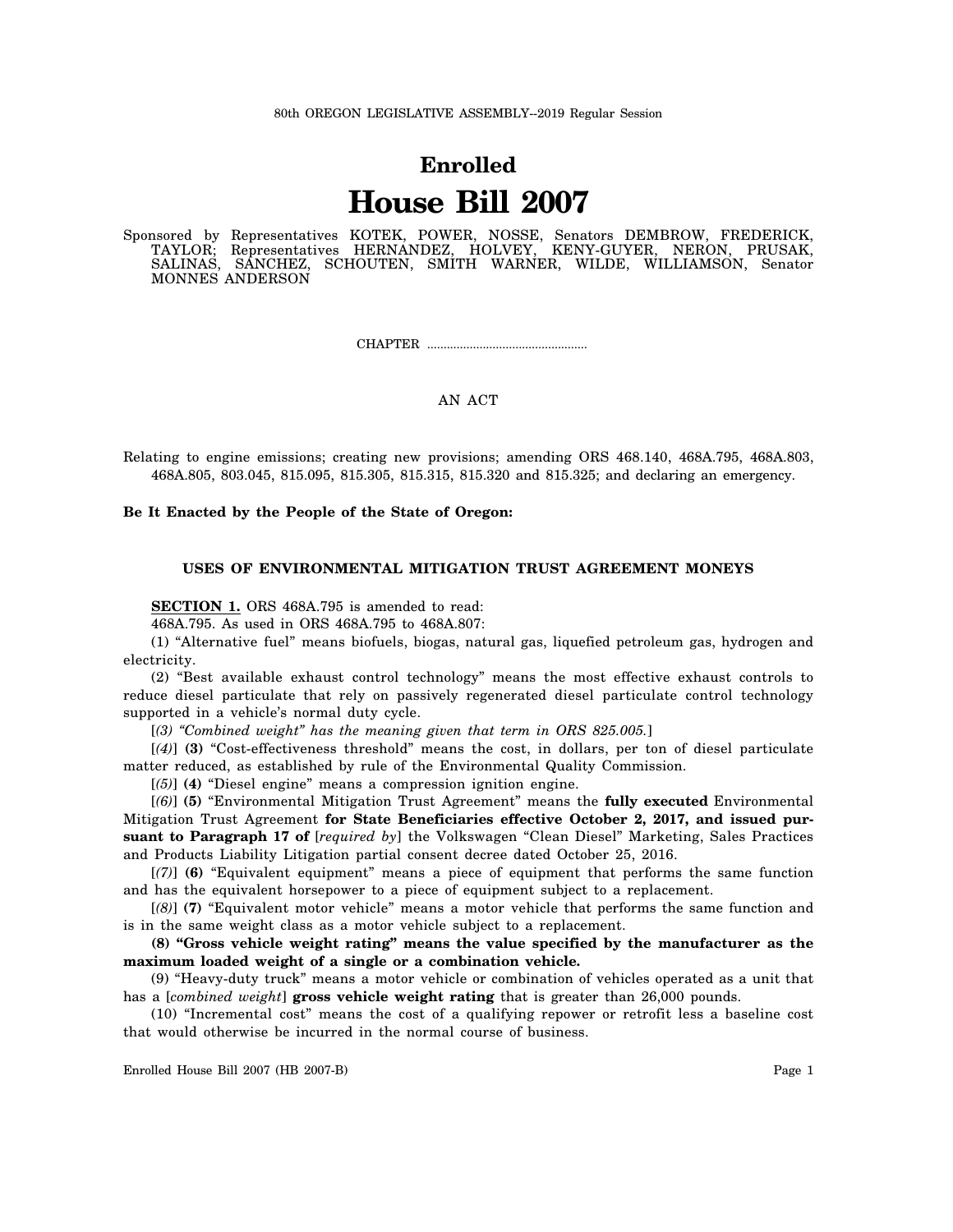# **Enrolled House Bill 2007**

Sponsored by Representatives KOTEK, POWER, NOSSE, Senators DEMBROW, FREDERICK, TAYLOR; Representatives HERNANDEZ, HOLVEY, KENY-GUYER, NERON, PRUSAK, SALINAS, SANCHEZ, SCHOUTEN, SMITH WARNER, WILDE, WILLIAMSON, Senator MONNES ANDERSON

CHAPTER .................................................

# AN ACT

Relating to engine emissions; creating new provisions; amending ORS 468.140, 468A.795, 468A.803, 468A.805, 803.045, 815.095, 815.305, 815.315, 815.320 and 815.325; and declaring an emergency.

**Be It Enacted by the People of the State of Oregon:**

## **USES OF ENVIRONMENTAL MITIGATION TRUST AGREEMENT MONEYS**

**SECTION 1.** ORS 468A.795 is amended to read:

468A.795. As used in ORS 468A.795 to 468A.807:

(1) "Alternative fuel" means biofuels, biogas, natural gas, liquefied petroleum gas, hydrogen and electricity.

(2) "Best available exhaust control technology" means the most effective exhaust controls to reduce diesel particulate that rely on passively regenerated diesel particulate control technology supported in a vehicle's normal duty cycle.

[*(3) "Combined weight" has the meaning given that term in ORS 825.005.*]

[*(4)*] **(3)** "Cost-effectiveness threshold" means the cost, in dollars, per ton of diesel particulate matter reduced, as established by rule of the Environmental Quality Commission.

[*(5)*] **(4)** "Diesel engine" means a compression ignition engine.

[*(6)*] **(5)** "Environmental Mitigation Trust Agreement" means the **fully executed** Environmental Mitigation Trust Agreement **for State Beneficiaries effective October 2, 2017, and issued pursuant to Paragraph 17 of** [*required by*] the Volkswagen "Clean Diesel" Marketing, Sales Practices and Products Liability Litigation partial consent decree dated October 25, 2016.

[*(7)*] **(6)** "Equivalent equipment" means a piece of equipment that performs the same function and has the equivalent horsepower to a piece of equipment subject to a replacement.

[*(8)*] **(7)** "Equivalent motor vehicle" means a motor vehicle that performs the same function and is in the same weight class as a motor vehicle subject to a replacement.

**(8) "Gross vehicle weight rating" means the value specified by the manufacturer as the maximum loaded weight of a single or a combination vehicle.**

(9) "Heavy-duty truck" means a motor vehicle or combination of vehicles operated as a unit that has a [*combined weight*] **gross vehicle weight rating** that is greater than 26,000 pounds.

(10) "Incremental cost" means the cost of a qualifying repower or retrofit less a baseline cost that would otherwise be incurred in the normal course of business.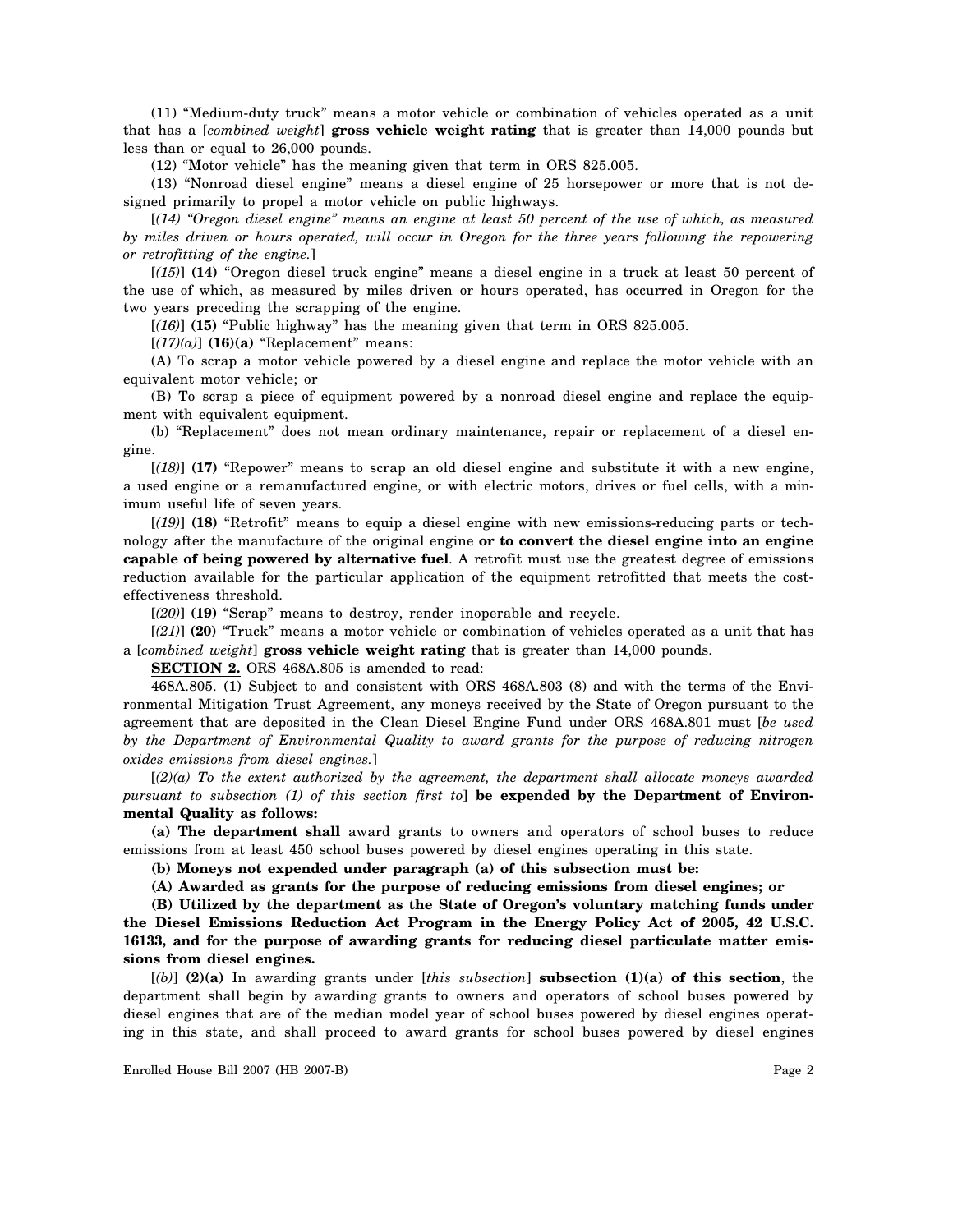(11) "Medium-duty truck" means a motor vehicle or combination of vehicles operated as a unit that has a [*combined weight*] **gross vehicle weight rating** that is greater than 14,000 pounds but less than or equal to 26,000 pounds.

(12) "Motor vehicle" has the meaning given that term in ORS 825.005.

(13) "Nonroad diesel engine" means a diesel engine of 25 horsepower or more that is not designed primarily to propel a motor vehicle on public highways.

[*(14) "Oregon diesel engine" means an engine at least 50 percent of the use of which, as measured by miles driven or hours operated, will occur in Oregon for the three years following the repowering or retrofitting of the engine.*]

[*(15)*] **(14)** "Oregon diesel truck engine" means a diesel engine in a truck at least 50 percent of the use of which, as measured by miles driven or hours operated, has occurred in Oregon for the two years preceding the scrapping of the engine.

[*(16)*] **(15)** "Public highway" has the meaning given that term in ORS 825.005.

[*(17)(a)*] **(16)(a)** "Replacement" means:

(A) To scrap a motor vehicle powered by a diesel engine and replace the motor vehicle with an equivalent motor vehicle; or

(B) To scrap a piece of equipment powered by a nonroad diesel engine and replace the equipment with equivalent equipment.

(b) "Replacement" does not mean ordinary maintenance, repair or replacement of a diesel engine.

[*(18)*] **(17)** "Repower" means to scrap an old diesel engine and substitute it with a new engine, a used engine or a remanufactured engine, or with electric motors, drives or fuel cells, with a minimum useful life of seven years.

[*(19)*] **(18)** "Retrofit" means to equip a diesel engine with new emissions-reducing parts or technology after the manufacture of the original engine **or to convert the diesel engine into an engine capable of being powered by alternative fuel**. A retrofit must use the greatest degree of emissions reduction available for the particular application of the equipment retrofitted that meets the costeffectiveness threshold.

[*(20)*] **(19)** "Scrap" means to destroy, render inoperable and recycle.

[*(21)*] **(20)** "Truck" means a motor vehicle or combination of vehicles operated as a unit that has a [*combined weight*] **gross vehicle weight rating** that is greater than 14,000 pounds.

**SECTION 2.** ORS 468A.805 is amended to read:

468A.805. (1) Subject to and consistent with ORS 468A.803 (8) and with the terms of the Environmental Mitigation Trust Agreement, any moneys received by the State of Oregon pursuant to the agreement that are deposited in the Clean Diesel Engine Fund under ORS 468A.801 must [*be used by the Department of Environmental Quality to award grants for the purpose of reducing nitrogen oxides emissions from diesel engines.*]

[*(2)(a) To the extent authorized by the agreement, the department shall allocate moneys awarded pursuant to subsection (1) of this section first to*] **be expended by the Department of Environmental Quality as follows:**

**(a) The department shall** award grants to owners and operators of school buses to reduce emissions from at least 450 school buses powered by diesel engines operating in this state.

**(b) Moneys not expended under paragraph (a) of this subsection must be:**

**(A) Awarded as grants for the purpose of reducing emissions from diesel engines; or**

**(B) Utilized by the department as the State of Oregon's voluntary matching funds under the Diesel Emissions Reduction Act Program in the Energy Policy Act of 2005, 42 U.S.C. 16133, and for the purpose of awarding grants for reducing diesel particulate matter emissions from diesel engines.**

[*(b)*] **(2)(a)** In awarding grants under [*this subsection*] **subsection (1)(a) of this section**, the department shall begin by awarding grants to owners and operators of school buses powered by diesel engines that are of the median model year of school buses powered by diesel engines operating in this state, and shall proceed to award grants for school buses powered by diesel engines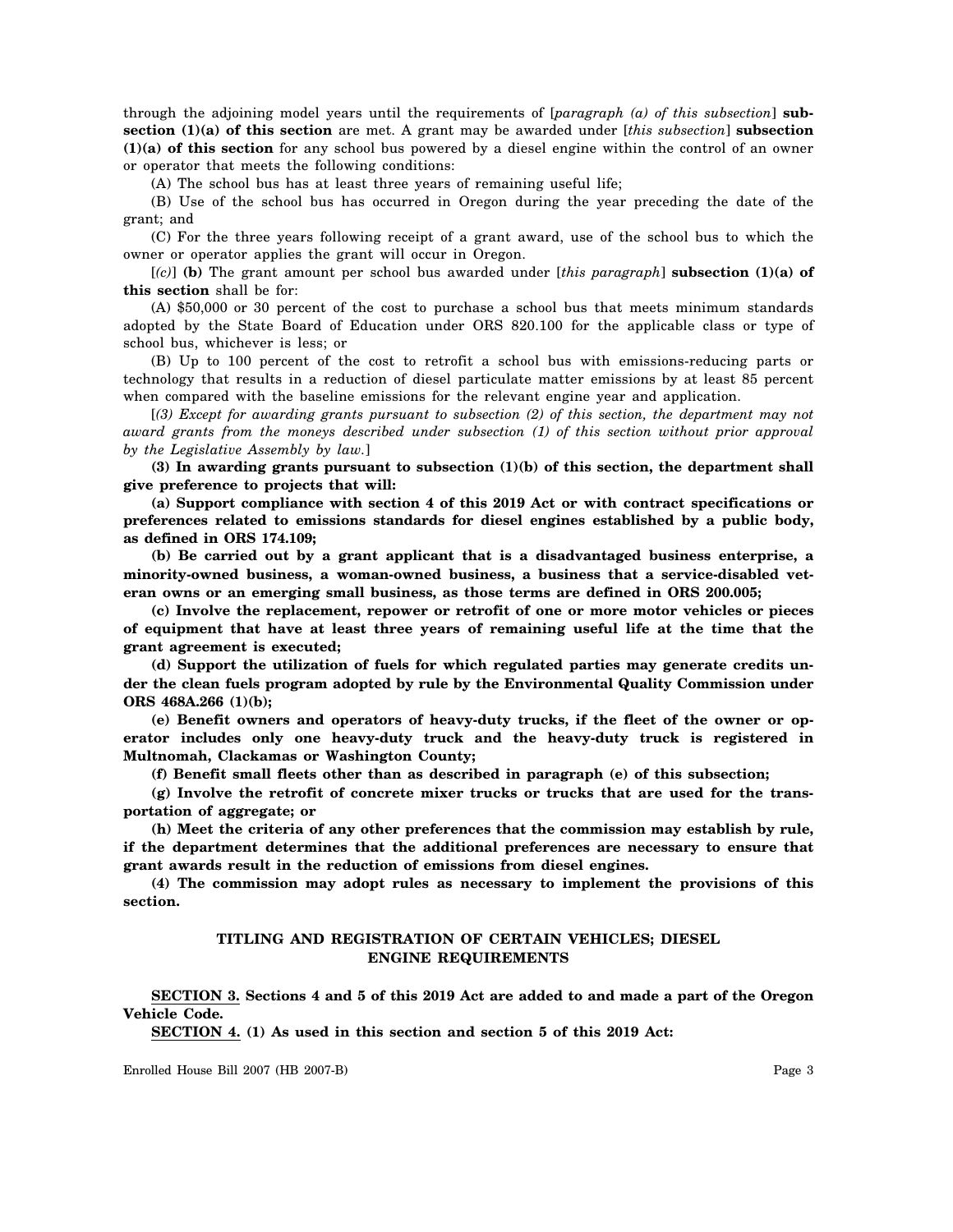through the adjoining model years until the requirements of [*paragraph (a) of this subsection*] **subsection (1)(a) of this section** are met. A grant may be awarded under [*this subsection*] **subsection (1)(a) of this section** for any school bus powered by a diesel engine within the control of an owner or operator that meets the following conditions:

(A) The school bus has at least three years of remaining useful life;

(B) Use of the school bus has occurred in Oregon during the year preceding the date of the grant; and

(C) For the three years following receipt of a grant award, use of the school bus to which the owner or operator applies the grant will occur in Oregon.

[*(c)*] **(b)** The grant amount per school bus awarded under [*this paragraph*] **subsection (1)(a) of this section** shall be for:

(A) \$50,000 or 30 percent of the cost to purchase a school bus that meets minimum standards adopted by the State Board of Education under ORS 820.100 for the applicable class or type of school bus, whichever is less; or

(B) Up to 100 percent of the cost to retrofit a school bus with emissions-reducing parts or technology that results in a reduction of diesel particulate matter emissions by at least 85 percent when compared with the baseline emissions for the relevant engine year and application.

[*(3) Except for awarding grants pursuant to subsection (2) of this section, the department may not award grants from the moneys described under subsection (1) of this section without prior approval by the Legislative Assembly by law.*]

**(3) In awarding grants pursuant to subsection (1)(b) of this section, the department shall give preference to projects that will:**

**(a) Support compliance with section 4 of this 2019 Act or with contract specifications or preferences related to emissions standards for diesel engines established by a public body, as defined in ORS 174.109;**

**(b) Be carried out by a grant applicant that is a disadvantaged business enterprise, a minority-owned business, a woman-owned business, a business that a service-disabled veteran owns or an emerging small business, as those terms are defined in ORS 200.005;**

**(c) Involve the replacement, repower or retrofit of one or more motor vehicles or pieces of equipment that have at least three years of remaining useful life at the time that the grant agreement is executed;**

**(d) Support the utilization of fuels for which regulated parties may generate credits under the clean fuels program adopted by rule by the Environmental Quality Commission under ORS 468A.266 (1)(b);**

**(e) Benefit owners and operators of heavy-duty trucks, if the fleet of the owner or operator includes only one heavy-duty truck and the heavy-duty truck is registered in Multnomah, Clackamas or Washington County;**

**(f) Benefit small fleets other than as described in paragraph (e) of this subsection;**

**(g) Involve the retrofit of concrete mixer trucks or trucks that are used for the transportation of aggregate; or**

**(h) Meet the criteria of any other preferences that the commission may establish by rule, if the department determines that the additional preferences are necessary to ensure that grant awards result in the reduction of emissions from diesel engines.**

**(4) The commission may adopt rules as necessary to implement the provisions of this section.**

# **TITLING AND REGISTRATION OF CERTAIN VEHICLES; DIESEL ENGINE REQUIREMENTS**

**SECTION 3. Sections 4 and 5 of this 2019 Act are added to and made a part of the Oregon Vehicle Code.**

**SECTION 4. (1) As used in this section and section 5 of this 2019 Act:**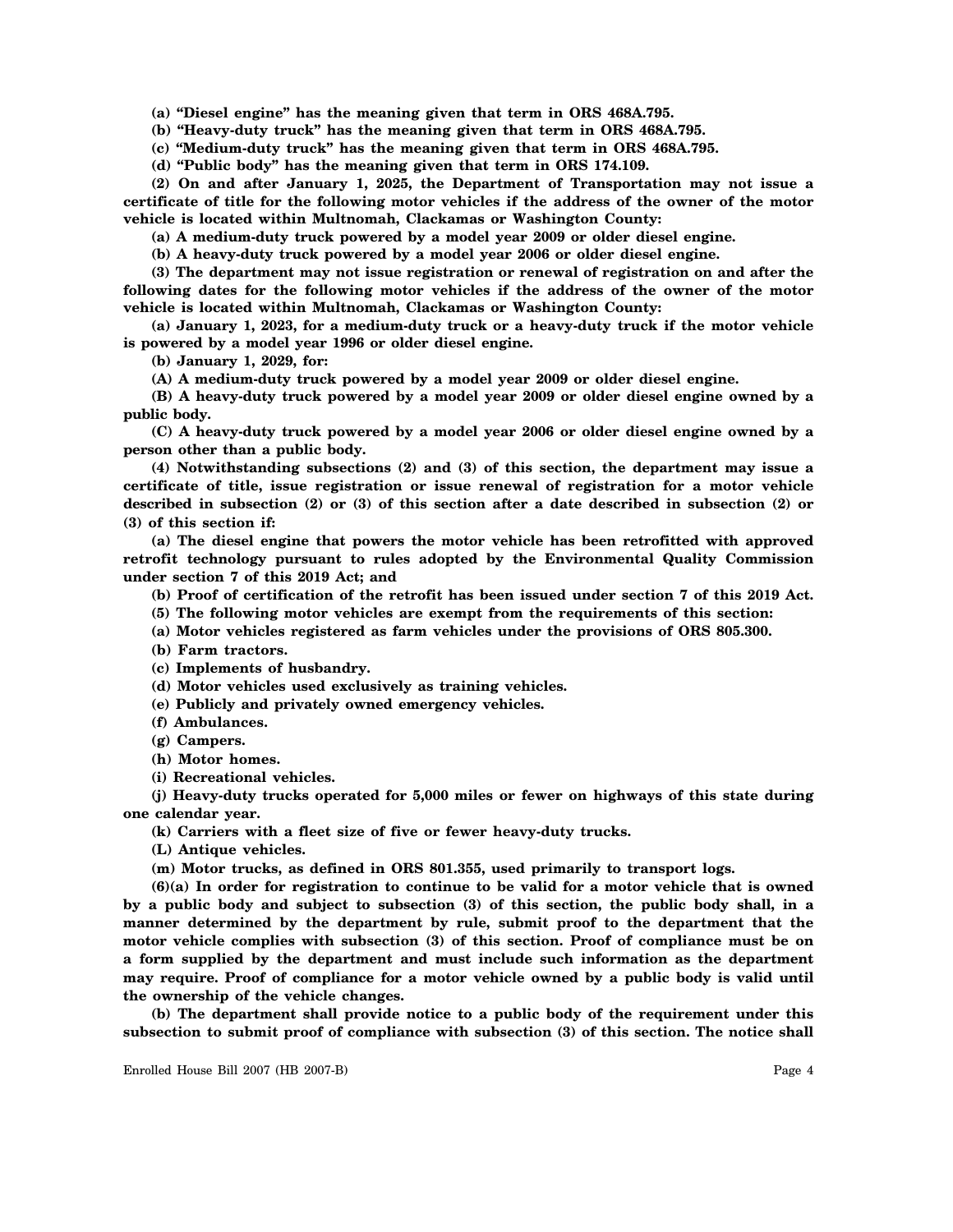**(a) "Diesel engine" has the meaning given that term in ORS 468A.795.**

**(b) "Heavy-duty truck" has the meaning given that term in ORS 468A.795.**

**(c) "Medium-duty truck" has the meaning given that term in ORS 468A.795.**

**(d) "Public body" has the meaning given that term in ORS 174.109.**

**(2) On and after January 1, 2025, the Department of Transportation may not issue a certificate of title for the following motor vehicles if the address of the owner of the motor vehicle is located within Multnomah, Clackamas or Washington County:**

**(a) A medium-duty truck powered by a model year 2009 or older diesel engine.**

**(b) A heavy-duty truck powered by a model year 2006 or older diesel engine.**

**(3) The department may not issue registration or renewal of registration on and after the following dates for the following motor vehicles if the address of the owner of the motor vehicle is located within Multnomah, Clackamas or Washington County:**

**(a) January 1, 2023, for a medium-duty truck or a heavy-duty truck if the motor vehicle is powered by a model year 1996 or older diesel engine.**

**(b) January 1, 2029, for:**

**(A) A medium-duty truck powered by a model year 2009 or older diesel engine.**

**(B) A heavy-duty truck powered by a model year 2009 or older diesel engine owned by a public body.**

**(C) A heavy-duty truck powered by a model year 2006 or older diesel engine owned by a person other than a public body.**

**(4) Notwithstanding subsections (2) and (3) of this section, the department may issue a certificate of title, issue registration or issue renewal of registration for a motor vehicle described in subsection (2) or (3) of this section after a date described in subsection (2) or (3) of this section if:**

**(a) The diesel engine that powers the motor vehicle has been retrofitted with approved retrofit technology pursuant to rules adopted by the Environmental Quality Commission under section 7 of this 2019 Act; and**

**(b) Proof of certification of the retrofit has been issued under section 7 of this 2019 Act.**

- **(5) The following motor vehicles are exempt from the requirements of this section:**
- **(a) Motor vehicles registered as farm vehicles under the provisions of ORS 805.300.**
- **(b) Farm tractors.**
- **(c) Implements of husbandry.**
- **(d) Motor vehicles used exclusively as training vehicles.**
- **(e) Publicly and privately owned emergency vehicles.**
- **(f) Ambulances.**
- **(g) Campers.**
- **(h) Motor homes.**
- **(i) Recreational vehicles.**

**(j) Heavy-duty trucks operated for 5,000 miles or fewer on highways of this state during one calendar year.**

**(k) Carriers with a fleet size of five or fewer heavy-duty trucks.**

- **(L) Antique vehicles.**
- **(m) Motor trucks, as defined in ORS 801.355, used primarily to transport logs.**

**(6)(a) In order for registration to continue to be valid for a motor vehicle that is owned by a public body and subject to subsection (3) of this section, the public body shall, in a manner determined by the department by rule, submit proof to the department that the motor vehicle complies with subsection (3) of this section. Proof of compliance must be on a form supplied by the department and must include such information as the department may require. Proof of compliance for a motor vehicle owned by a public body is valid until the ownership of the vehicle changes.**

**(b) The department shall provide notice to a public body of the requirement under this subsection to submit proof of compliance with subsection (3) of this section. The notice shall**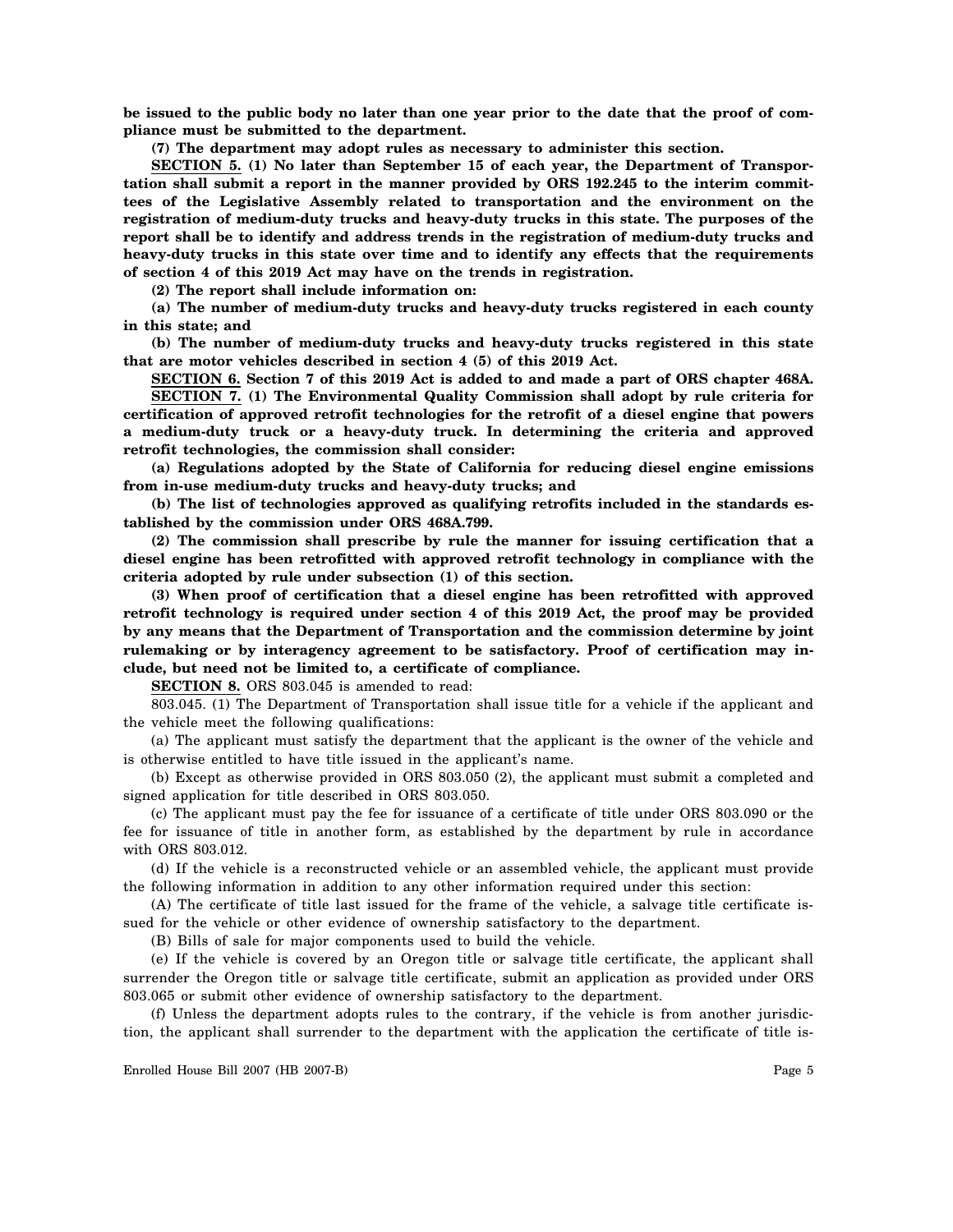**be issued to the public body no later than one year prior to the date that the proof of compliance must be submitted to the department.**

**(7) The department may adopt rules as necessary to administer this section.**

**SECTION 5. (1) No later than September 15 of each year, the Department of Transportation shall submit a report in the manner provided by ORS 192.245 to the interim committees of the Legislative Assembly related to transportation and the environment on the registration of medium-duty trucks and heavy-duty trucks in this state. The purposes of the report shall be to identify and address trends in the registration of medium-duty trucks and heavy-duty trucks in this state over time and to identify any effects that the requirements of section 4 of this 2019 Act may have on the trends in registration.**

**(2) The report shall include information on:**

**(a) The number of medium-duty trucks and heavy-duty trucks registered in each county in this state; and**

**(b) The number of medium-duty trucks and heavy-duty trucks registered in this state that are motor vehicles described in section 4 (5) of this 2019 Act.**

**SECTION 6. Section 7 of this 2019 Act is added to and made a part of ORS chapter 468A.**

**SECTION 7. (1) The Environmental Quality Commission shall adopt by rule criteria for certification of approved retrofit technologies for the retrofit of a diesel engine that powers a medium-duty truck or a heavy-duty truck. In determining the criteria and approved retrofit technologies, the commission shall consider:**

**(a) Regulations adopted by the State of California for reducing diesel engine emissions from in-use medium-duty trucks and heavy-duty trucks; and**

**(b) The list of technologies approved as qualifying retrofits included in the standards established by the commission under ORS 468A.799.**

**(2) The commission shall prescribe by rule the manner for issuing certification that a diesel engine has been retrofitted with approved retrofit technology in compliance with the criteria adopted by rule under subsection (1) of this section.**

**(3) When proof of certification that a diesel engine has been retrofitted with approved retrofit technology is required under section 4 of this 2019 Act, the proof may be provided by any means that the Department of Transportation and the commission determine by joint rulemaking or by interagency agreement to be satisfactory. Proof of certification may include, but need not be limited to, a certificate of compliance.**

**SECTION 8.** ORS 803.045 is amended to read:

803.045. (1) The Department of Transportation shall issue title for a vehicle if the applicant and the vehicle meet the following qualifications:

(a) The applicant must satisfy the department that the applicant is the owner of the vehicle and is otherwise entitled to have title issued in the applicant's name.

(b) Except as otherwise provided in ORS 803.050 (2), the applicant must submit a completed and signed application for title described in ORS 803.050.

(c) The applicant must pay the fee for issuance of a certificate of title under ORS 803.090 or the fee for issuance of title in another form, as established by the department by rule in accordance with ORS 803.012.

(d) If the vehicle is a reconstructed vehicle or an assembled vehicle, the applicant must provide the following information in addition to any other information required under this section:

(A) The certificate of title last issued for the frame of the vehicle, a salvage title certificate issued for the vehicle or other evidence of ownership satisfactory to the department.

(B) Bills of sale for major components used to build the vehicle.

(e) If the vehicle is covered by an Oregon title or salvage title certificate, the applicant shall surrender the Oregon title or salvage title certificate, submit an application as provided under ORS 803.065 or submit other evidence of ownership satisfactory to the department.

(f) Unless the department adopts rules to the contrary, if the vehicle is from another jurisdiction, the applicant shall surrender to the department with the application the certificate of title is-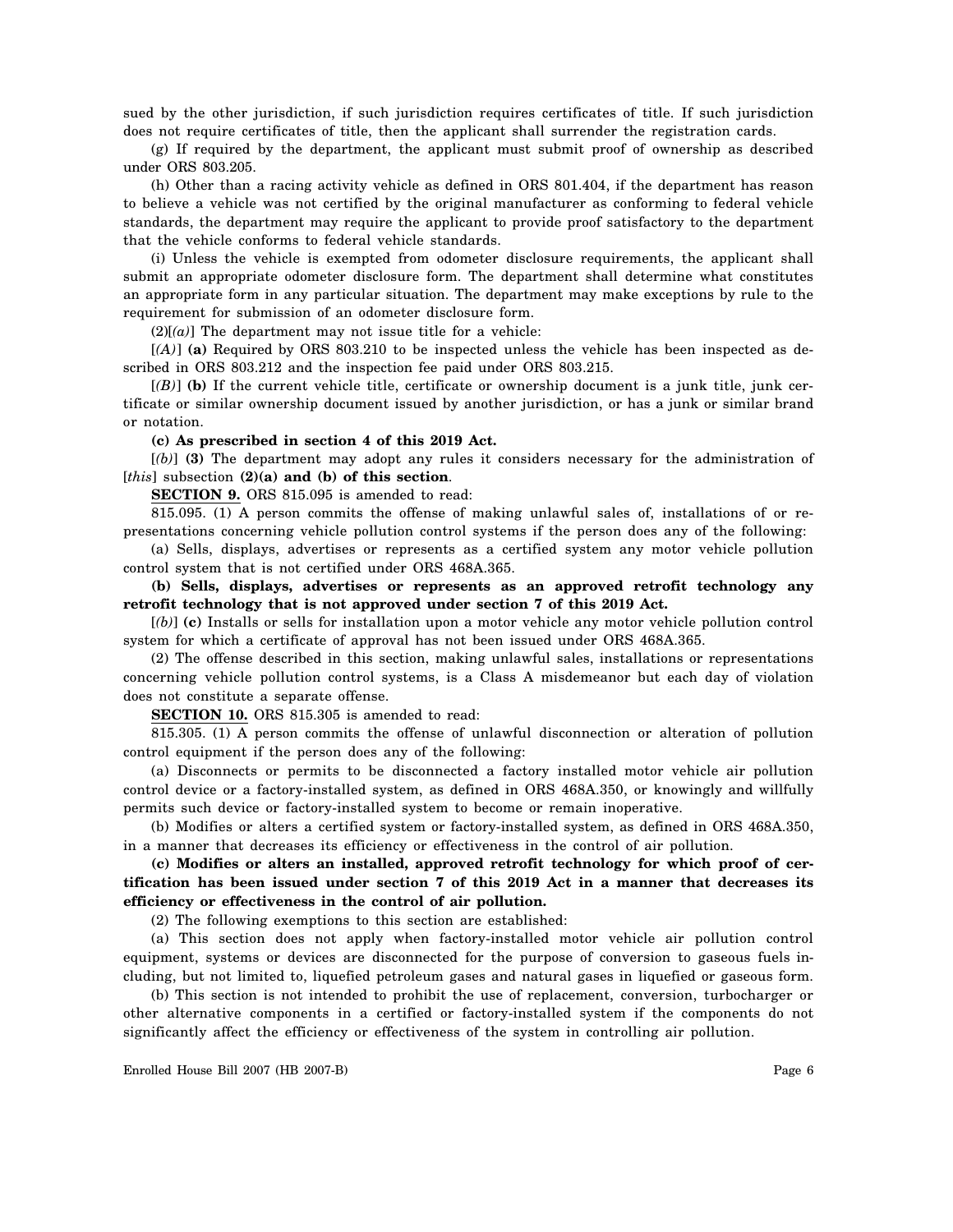sued by the other jurisdiction, if such jurisdiction requires certificates of title. If such jurisdiction does not require certificates of title, then the applicant shall surrender the registration cards.

(g) If required by the department, the applicant must submit proof of ownership as described under ORS 803.205.

(h) Other than a racing activity vehicle as defined in ORS 801.404, if the department has reason to believe a vehicle was not certified by the original manufacturer as conforming to federal vehicle standards, the department may require the applicant to provide proof satisfactory to the department that the vehicle conforms to federal vehicle standards.

(i) Unless the vehicle is exempted from odometer disclosure requirements, the applicant shall submit an appropriate odometer disclosure form. The department shall determine what constitutes an appropriate form in any particular situation. The department may make exceptions by rule to the requirement for submission of an odometer disclosure form.

 $(2)[(a)]$  The department may not issue title for a vehicle:

[*(A)*] **(a)** Required by ORS 803.210 to be inspected unless the vehicle has been inspected as described in ORS 803.212 and the inspection fee paid under ORS 803.215.

 $[(B)]$  (b) If the current vehicle title, certificate or ownership document is a junk title, junk certificate or similar ownership document issued by another jurisdiction, or has a junk or similar brand or notation.

**(c) As prescribed in section 4 of this 2019 Act.**

[*(b)*] **(3)** The department may adopt any rules it considers necessary for the administration of [*this*] subsection **(2)(a) and (b) of this section**.

**SECTION 9.** ORS 815.095 is amended to read:

815.095. (1) A person commits the offense of making unlawful sales of, installations of or representations concerning vehicle pollution control systems if the person does any of the following:

(a) Sells, displays, advertises or represents as a certified system any motor vehicle pollution control system that is not certified under ORS 468A.365.

**(b) Sells, displays, advertises or represents as an approved retrofit technology any retrofit technology that is not approved under section 7 of this 2019 Act.**

[*(b)*] **(c)** Installs or sells for installation upon a motor vehicle any motor vehicle pollution control system for which a certificate of approval has not been issued under ORS 468A.365.

(2) The offense described in this section, making unlawful sales, installations or representations concerning vehicle pollution control systems, is a Class A misdemeanor but each day of violation does not constitute a separate offense.

**SECTION 10.** ORS 815.305 is amended to read:

815.305. (1) A person commits the offense of unlawful disconnection or alteration of pollution control equipment if the person does any of the following:

(a) Disconnects or permits to be disconnected a factory installed motor vehicle air pollution control device or a factory-installed system, as defined in ORS 468A.350, or knowingly and willfully permits such device or factory-installed system to become or remain inoperative.

(b) Modifies or alters a certified system or factory-installed system, as defined in ORS 468A.350, in a manner that decreases its efficiency or effectiveness in the control of air pollution.

**(c) Modifies or alters an installed, approved retrofit technology for which proof of certification has been issued under section 7 of this 2019 Act in a manner that decreases its efficiency or effectiveness in the control of air pollution.**

(2) The following exemptions to this section are established:

(a) This section does not apply when factory-installed motor vehicle air pollution control equipment, systems or devices are disconnected for the purpose of conversion to gaseous fuels including, but not limited to, liquefied petroleum gases and natural gases in liquefied or gaseous form.

(b) This section is not intended to prohibit the use of replacement, conversion, turbocharger or other alternative components in a certified or factory-installed system if the components do not significantly affect the efficiency or effectiveness of the system in controlling air pollution.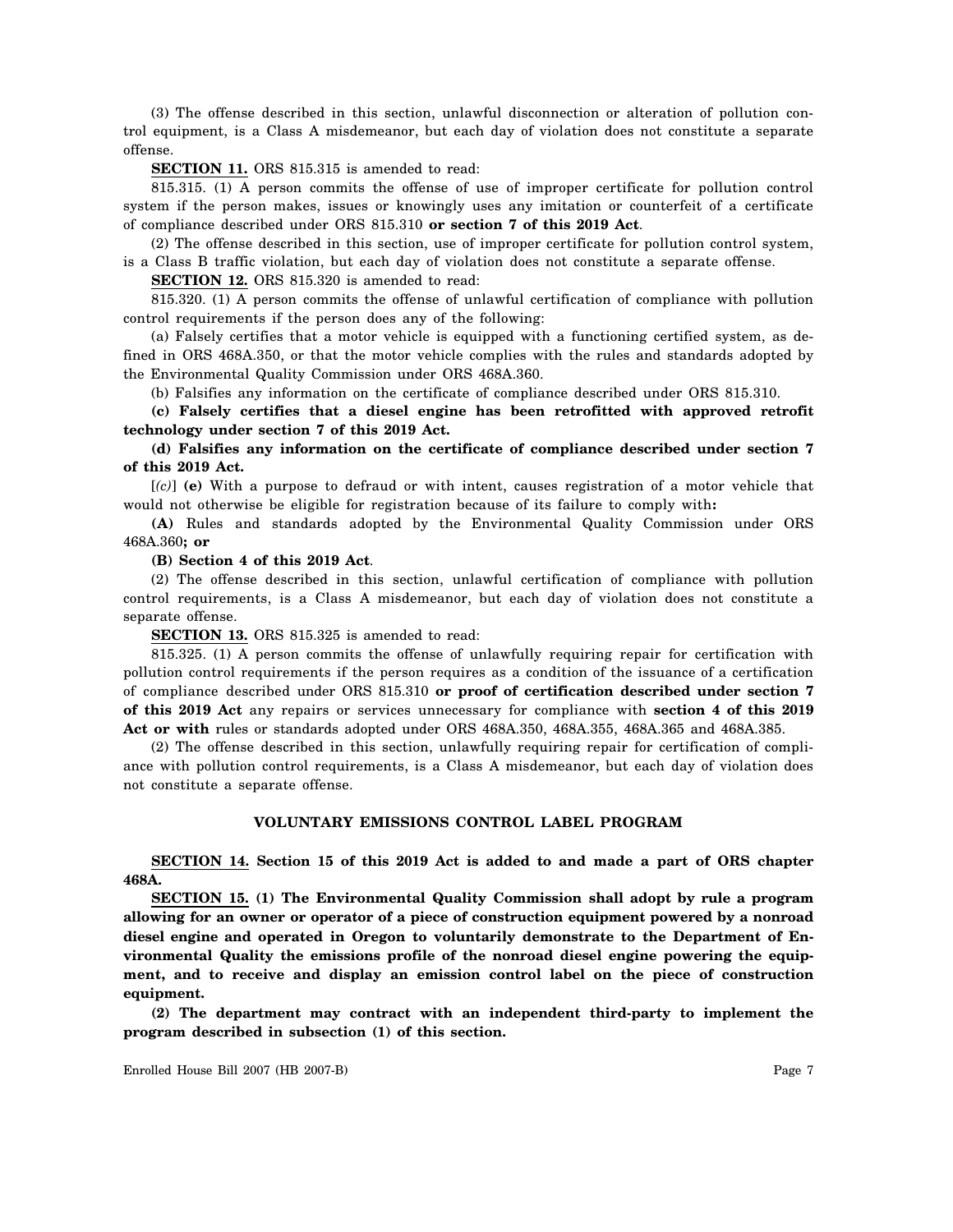(3) The offense described in this section, unlawful disconnection or alteration of pollution control equipment, is a Class A misdemeanor, but each day of violation does not constitute a separate offense.

## **SECTION 11.** ORS 815.315 is amended to read:

815.315. (1) A person commits the offense of use of improper certificate for pollution control system if the person makes, issues or knowingly uses any imitation or counterfeit of a certificate of compliance described under ORS 815.310 **or section 7 of this 2019 Act**.

(2) The offense described in this section, use of improper certificate for pollution control system, is a Class B traffic violation, but each day of violation does not constitute a separate offense.

**SECTION 12.** ORS 815.320 is amended to read:

815.320. (1) A person commits the offense of unlawful certification of compliance with pollution control requirements if the person does any of the following:

(a) Falsely certifies that a motor vehicle is equipped with a functioning certified system, as defined in ORS 468A.350, or that the motor vehicle complies with the rules and standards adopted by the Environmental Quality Commission under ORS 468A.360.

(b) Falsifies any information on the certificate of compliance described under ORS 815.310.

**(c) Falsely certifies that a diesel engine has been retrofitted with approved retrofit technology under section 7 of this 2019 Act.**

# **(d) Falsifies any information on the certificate of compliance described under section 7 of this 2019 Act.**

[*(c)*] **(e)** With a purpose to defraud or with intent, causes registration of a motor vehicle that would not otherwise be eligible for registration because of its failure to comply with**:**

**(A)** Rules and standards adopted by the Environmental Quality Commission under ORS 468A.360**; or**

#### **(B) Section 4 of this 2019 Act**.

(2) The offense described in this section, unlawful certification of compliance with pollution control requirements, is a Class A misdemeanor, but each day of violation does not constitute a separate offense.

**SECTION 13.** ORS 815.325 is amended to read:

815.325. (1) A person commits the offense of unlawfully requiring repair for certification with pollution control requirements if the person requires as a condition of the issuance of a certification of compliance described under ORS 815.310 **or proof of certification described under section 7 of this 2019 Act** any repairs or services unnecessary for compliance with **section 4 of this 2019 Act or with** rules or standards adopted under ORS 468A.350, 468A.355, 468A.365 and 468A.385.

(2) The offense described in this section, unlawfully requiring repair for certification of compliance with pollution control requirements, is a Class A misdemeanor, but each day of violation does not constitute a separate offense.

# **VOLUNTARY EMISSIONS CONTROL LABEL PROGRAM**

**SECTION 14. Section 15 of this 2019 Act is added to and made a part of ORS chapter 468A.**

**SECTION 15. (1) The Environmental Quality Commission shall adopt by rule a program allowing for an owner or operator of a piece of construction equipment powered by a nonroad diesel engine and operated in Oregon to voluntarily demonstrate to the Department of Environmental Quality the emissions profile of the nonroad diesel engine powering the equipment, and to receive and display an emission control label on the piece of construction equipment.**

**(2) The department may contract with an independent third-party to implement the program described in subsection (1) of this section.**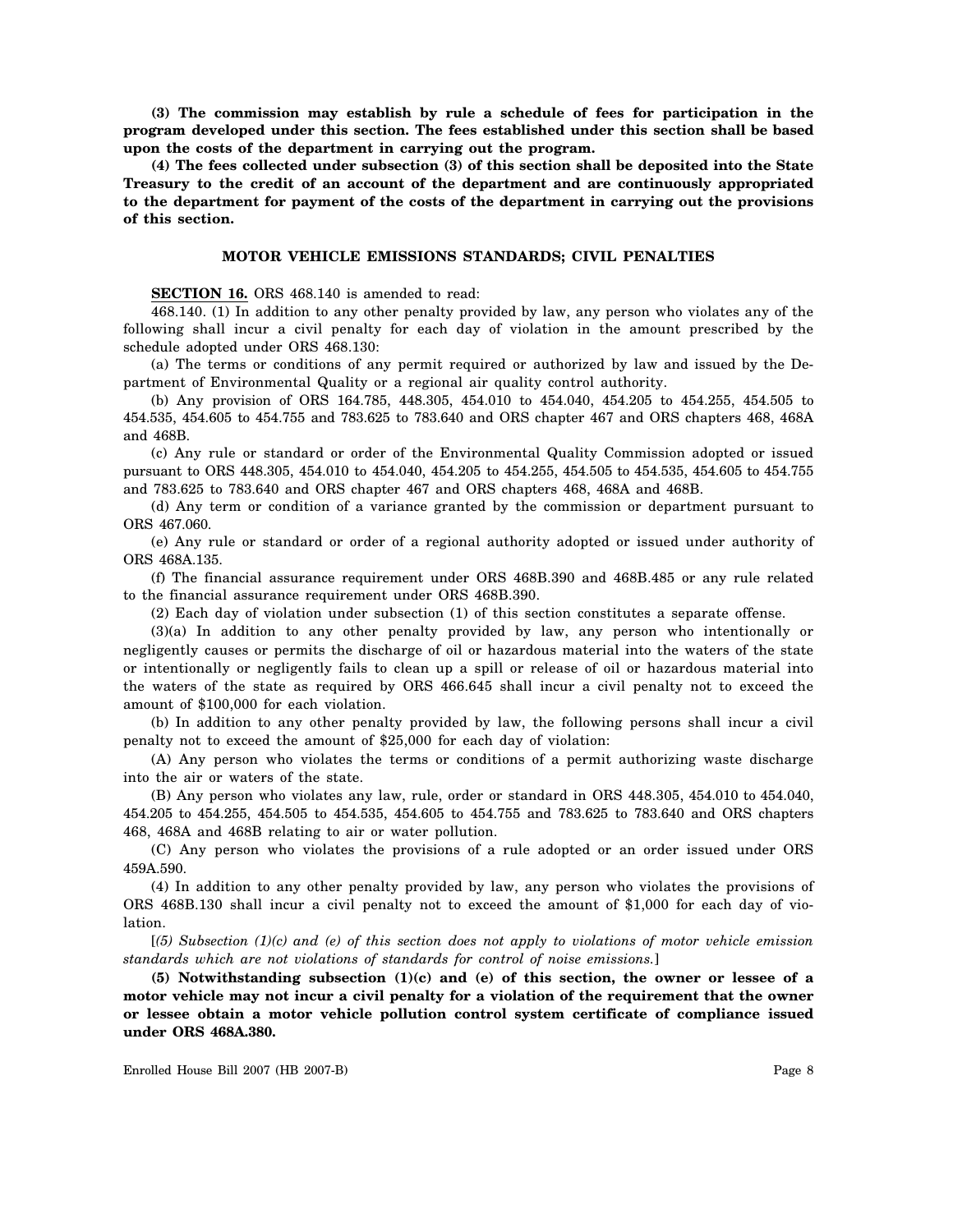**(3) The commission may establish by rule a schedule of fees for participation in the program developed under this section. The fees established under this section shall be based upon the costs of the department in carrying out the program.**

**(4) The fees collected under subsection (3) of this section shall be deposited into the State Treasury to the credit of an account of the department and are continuously appropriated to the department for payment of the costs of the department in carrying out the provisions of this section.**

## **MOTOR VEHICLE EMISSIONS STANDARDS; CIVIL PENALTIES**

**SECTION 16.** ORS 468.140 is amended to read:

468.140. (1) In addition to any other penalty provided by law, any person who violates any of the following shall incur a civil penalty for each day of violation in the amount prescribed by the schedule adopted under ORS 468.130:

(a) The terms or conditions of any permit required or authorized by law and issued by the Department of Environmental Quality or a regional air quality control authority.

(b) Any provision of ORS 164.785, 448.305, 454.010 to 454.040, 454.205 to 454.255, 454.505 to 454.535, 454.605 to 454.755 and 783.625 to 783.640 and ORS chapter 467 and ORS chapters 468, 468A and 468B.

(c) Any rule or standard or order of the Environmental Quality Commission adopted or issued pursuant to ORS 448.305, 454.010 to 454.040, 454.205 to 454.255, 454.505 to 454.535, 454.605 to 454.755 and 783.625 to 783.640 and ORS chapter 467 and ORS chapters 468, 468A and 468B.

(d) Any term or condition of a variance granted by the commission or department pursuant to ORS 467.060.

(e) Any rule or standard or order of a regional authority adopted or issued under authority of ORS 468A.135.

(f) The financial assurance requirement under ORS 468B.390 and 468B.485 or any rule related to the financial assurance requirement under ORS 468B.390.

(2) Each day of violation under subsection (1) of this section constitutes a separate offense.

(3)(a) In addition to any other penalty provided by law, any person who intentionally or negligently causes or permits the discharge of oil or hazardous material into the waters of the state or intentionally or negligently fails to clean up a spill or release of oil or hazardous material into the waters of the state as required by ORS 466.645 shall incur a civil penalty not to exceed the amount of \$100,000 for each violation.

(b) In addition to any other penalty provided by law, the following persons shall incur a civil penalty not to exceed the amount of \$25,000 for each day of violation:

(A) Any person who violates the terms or conditions of a permit authorizing waste discharge into the air or waters of the state.

(B) Any person who violates any law, rule, order or standard in ORS 448.305, 454.010 to 454.040, 454.205 to 454.255, 454.505 to 454.535, 454.605 to 454.755 and 783.625 to 783.640 and ORS chapters 468, 468A and 468B relating to air or water pollution.

(C) Any person who violates the provisions of a rule adopted or an order issued under ORS 459A.590.

(4) In addition to any other penalty provided by law, any person who violates the provisions of ORS 468B.130 shall incur a civil penalty not to exceed the amount of \$1,000 for each day of violation.

[*(5) Subsection (1)(c) and (e) of this section does not apply to violations of motor vehicle emission standards which are not violations of standards for control of noise emissions.*]

**(5) Notwithstanding subsection (1)(c) and (e) of this section, the owner or lessee of a motor vehicle may not incur a civil penalty for a violation of the requirement that the owner or lessee obtain a motor vehicle pollution control system certificate of compliance issued under ORS 468A.380.**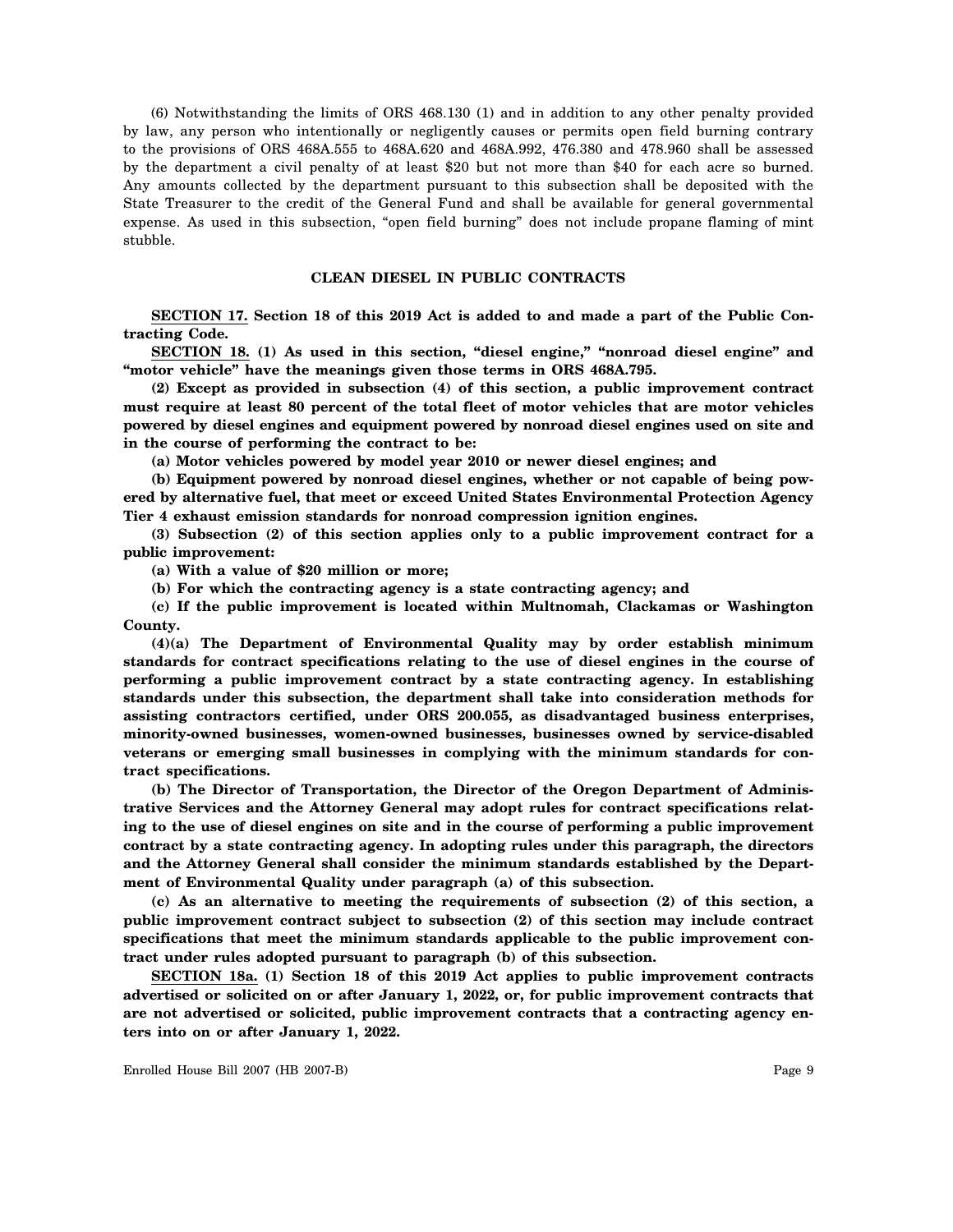(6) Notwithstanding the limits of ORS 468.130 (1) and in addition to any other penalty provided by law, any person who intentionally or negligently causes or permits open field burning contrary to the provisions of ORS 468A.555 to 468A.620 and 468A.992, 476.380 and 478.960 shall be assessed by the department a civil penalty of at least \$20 but not more than \$40 for each acre so burned. Any amounts collected by the department pursuant to this subsection shall be deposited with the State Treasurer to the credit of the General Fund and shall be available for general governmental expense. As used in this subsection, "open field burning" does not include propane flaming of mint stubble.

### **CLEAN DIESEL IN PUBLIC CONTRACTS**

**SECTION 17. Section 18 of this 2019 Act is added to and made a part of the Public Contracting Code.**

**SECTION 18. (1) As used in this section, "diesel engine," "nonroad diesel engine" and "motor vehicle" have the meanings given those terms in ORS 468A.795.**

**(2) Except as provided in subsection (4) of this section, a public improvement contract must require at least 80 percent of the total fleet of motor vehicles that are motor vehicles powered by diesel engines and equipment powered by nonroad diesel engines used on site and in the course of performing the contract to be:**

**(a) Motor vehicles powered by model year 2010 or newer diesel engines; and**

**(b) Equipment powered by nonroad diesel engines, whether or not capable of being powered by alternative fuel, that meet or exceed United States Environmental Protection Agency Tier 4 exhaust emission standards for nonroad compression ignition engines.**

**(3) Subsection (2) of this section applies only to a public improvement contract for a public improvement:**

**(a) With a value of \$20 million or more;**

**(b) For which the contracting agency is a state contracting agency; and**

**(c) If the public improvement is located within Multnomah, Clackamas or Washington County.**

**(4)(a) The Department of Environmental Quality may by order establish minimum standards for contract specifications relating to the use of diesel engines in the course of performing a public improvement contract by a state contracting agency. In establishing standards under this subsection, the department shall take into consideration methods for assisting contractors certified, under ORS 200.055, as disadvantaged business enterprises, minority-owned businesses, women-owned businesses, businesses owned by service-disabled veterans or emerging small businesses in complying with the minimum standards for contract specifications.**

**(b) The Director of Transportation, the Director of the Oregon Department of Administrative Services and the Attorney General may adopt rules for contract specifications relating to the use of diesel engines on site and in the course of performing a public improvement contract by a state contracting agency. In adopting rules under this paragraph, the directors and the Attorney General shall consider the minimum standards established by the Department of Environmental Quality under paragraph (a) of this subsection.**

**(c) As an alternative to meeting the requirements of subsection (2) of this section, a public improvement contract subject to subsection (2) of this section may include contract specifications that meet the minimum standards applicable to the public improvement contract under rules adopted pursuant to paragraph (b) of this subsection.**

**SECTION 18a. (1) Section 18 of this 2019 Act applies to public improvement contracts advertised or solicited on or after January 1, 2022, or, for public improvement contracts that are not advertised or solicited, public improvement contracts that a contracting agency enters into on or after January 1, 2022.**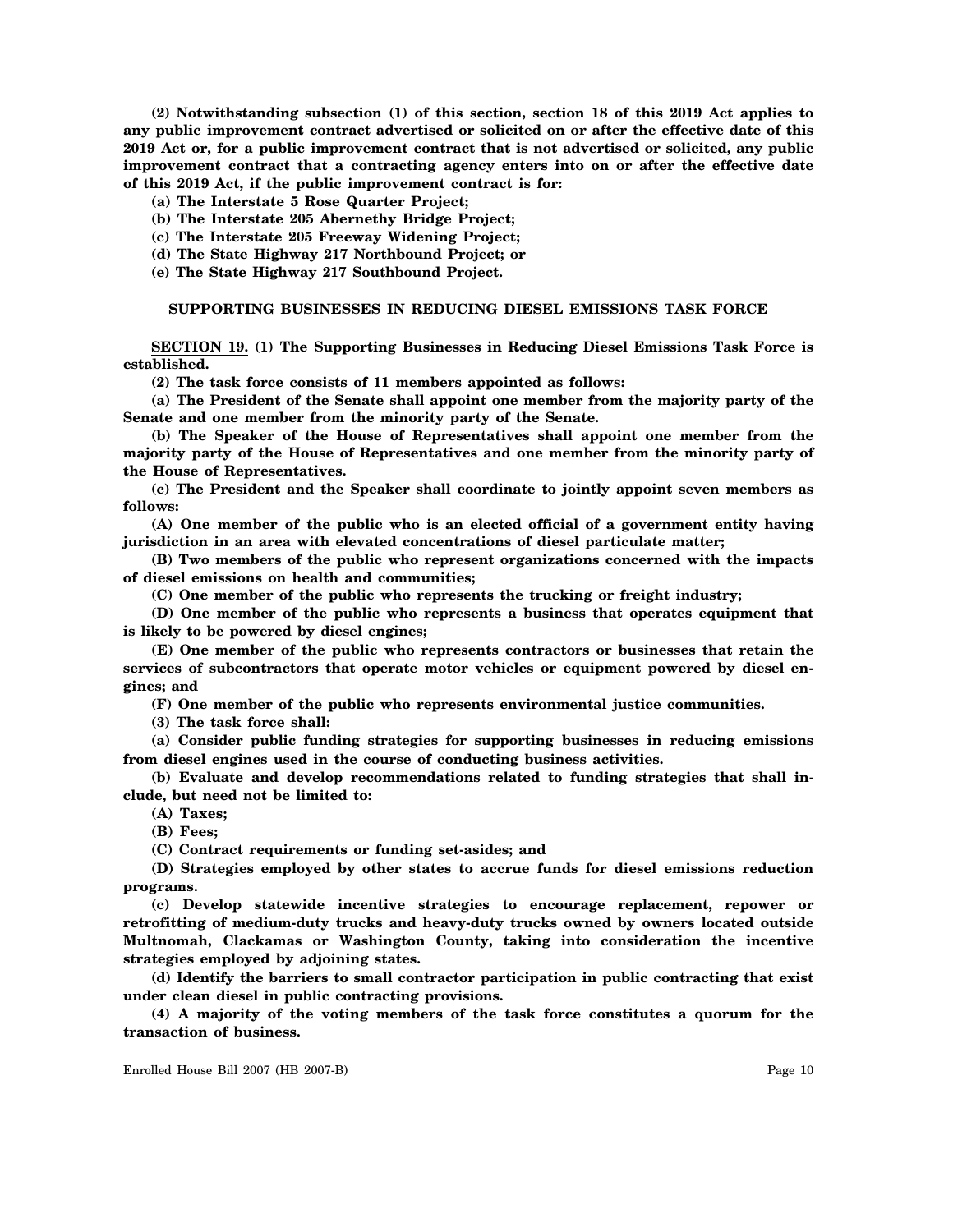**(2) Notwithstanding subsection (1) of this section, section 18 of this 2019 Act applies to any public improvement contract advertised or solicited on or after the effective date of this 2019 Act or, for a public improvement contract that is not advertised or solicited, any public improvement contract that a contracting agency enters into on or after the effective date of this 2019 Act, if the public improvement contract is for:**

**(a) The Interstate 5 Rose Quarter Project;**

**(b) The Interstate 205 Abernethy Bridge Project;**

**(c) The Interstate 205 Freeway Widening Project;**

**(d) The State Highway 217 Northbound Project; or**

**(e) The State Highway 217 Southbound Project.**

# **SUPPORTING BUSINESSES IN REDUCING DIESEL EMISSIONS TASK FORCE**

**SECTION 19. (1) The Supporting Businesses in Reducing Diesel Emissions Task Force is established.**

**(2) The task force consists of 11 members appointed as follows:**

**(a) The President of the Senate shall appoint one member from the majority party of the Senate and one member from the minority party of the Senate.**

**(b) The Speaker of the House of Representatives shall appoint one member from the majority party of the House of Representatives and one member from the minority party of the House of Representatives.**

**(c) The President and the Speaker shall coordinate to jointly appoint seven members as follows:**

**(A) One member of the public who is an elected official of a government entity having jurisdiction in an area with elevated concentrations of diesel particulate matter;**

**(B) Two members of the public who represent organizations concerned with the impacts of diesel emissions on health and communities;**

**(C) One member of the public who represents the trucking or freight industry;**

**(D) One member of the public who represents a business that operates equipment that is likely to be powered by diesel engines;**

**(E) One member of the public who represents contractors or businesses that retain the services of subcontractors that operate motor vehicles or equipment powered by diesel engines; and**

**(F) One member of the public who represents environmental justice communities.**

**(3) The task force shall:**

**(a) Consider public funding strategies for supporting businesses in reducing emissions from diesel engines used in the course of conducting business activities.**

**(b) Evaluate and develop recommendations related to funding strategies that shall include, but need not be limited to:**

**(A) Taxes;**

**(B) Fees;**

**(C) Contract requirements or funding set-asides; and**

**(D) Strategies employed by other states to accrue funds for diesel emissions reduction programs.**

**(c) Develop statewide incentive strategies to encourage replacement, repower or retrofitting of medium-duty trucks and heavy-duty trucks owned by owners located outside Multnomah, Clackamas or Washington County, taking into consideration the incentive strategies employed by adjoining states.**

**(d) Identify the barriers to small contractor participation in public contracting that exist under clean diesel in public contracting provisions.**

**(4) A majority of the voting members of the task force constitutes a quorum for the transaction of business.**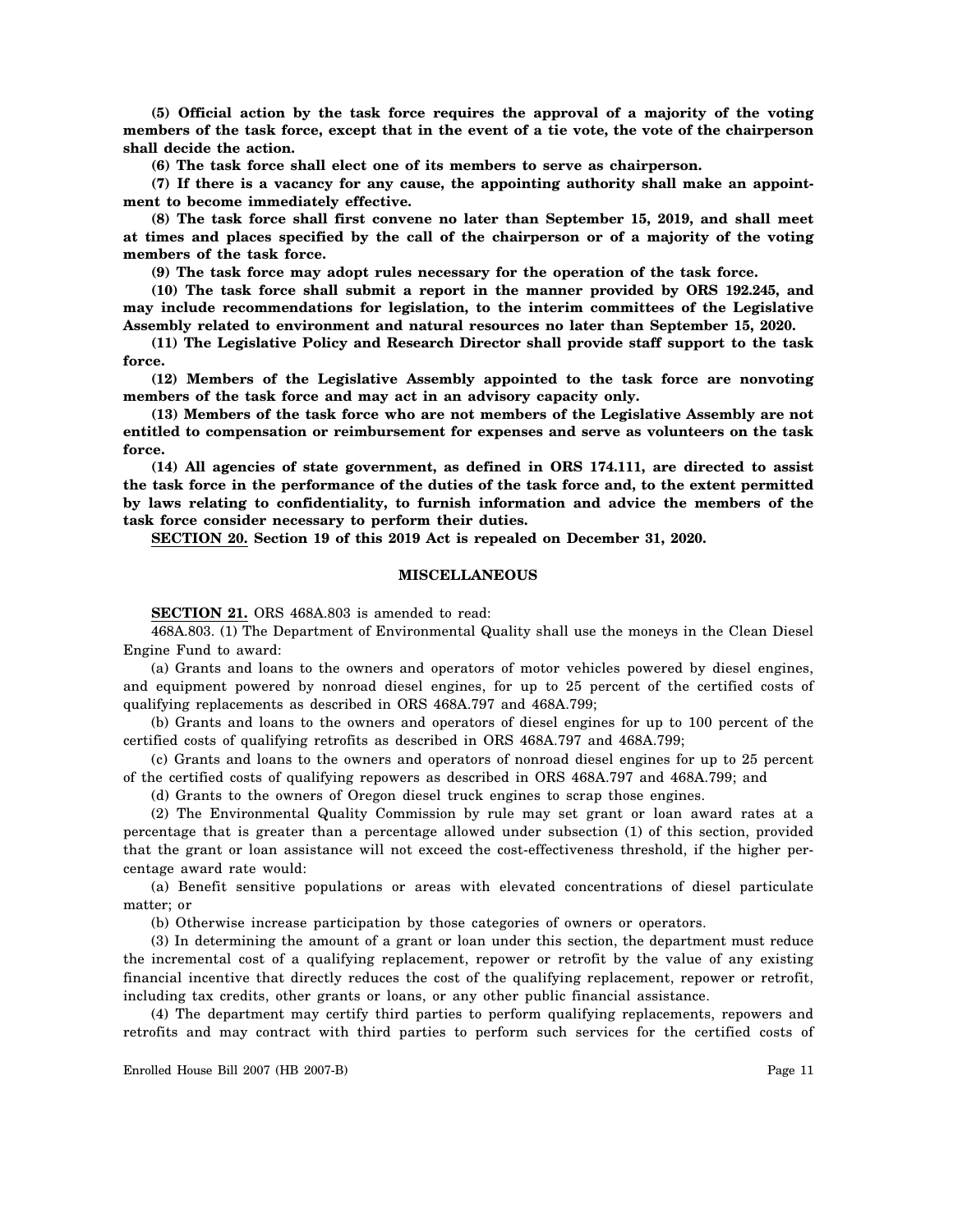**(5) Official action by the task force requires the approval of a majority of the voting members of the task force, except that in the event of a tie vote, the vote of the chairperson shall decide the action.**

**(6) The task force shall elect one of its members to serve as chairperson.**

**(7) If there is a vacancy for any cause, the appointing authority shall make an appointment to become immediately effective.**

**(8) The task force shall first convene no later than September 15, 2019, and shall meet at times and places specified by the call of the chairperson or of a majority of the voting members of the task force.**

**(9) The task force may adopt rules necessary for the operation of the task force.**

**(10) The task force shall submit a report in the manner provided by ORS 192.245, and may include recommendations for legislation, to the interim committees of the Legislative Assembly related to environment and natural resources no later than September 15, 2020.**

**(11) The Legislative Policy and Research Director shall provide staff support to the task force.**

**(12) Members of the Legislative Assembly appointed to the task force are nonvoting members of the task force and may act in an advisory capacity only.**

**(13) Members of the task force who are not members of the Legislative Assembly are not entitled to compensation or reimbursement for expenses and serve as volunteers on the task force.**

**(14) All agencies of state government, as defined in ORS 174.111, are directed to assist the task force in the performance of the duties of the task force and, to the extent permitted by laws relating to confidentiality, to furnish information and advice the members of the task force consider necessary to perform their duties.**

**SECTION 20. Section 19 of this 2019 Act is repealed on December 31, 2020.**

## **MISCELLANEOUS**

**SECTION 21.** ORS 468A.803 is amended to read:

468A.803. (1) The Department of Environmental Quality shall use the moneys in the Clean Diesel Engine Fund to award:

(a) Grants and loans to the owners and operators of motor vehicles powered by diesel engines, and equipment powered by nonroad diesel engines, for up to 25 percent of the certified costs of qualifying replacements as described in ORS 468A.797 and 468A.799;

(b) Grants and loans to the owners and operators of diesel engines for up to 100 percent of the certified costs of qualifying retrofits as described in ORS 468A.797 and 468A.799;

(c) Grants and loans to the owners and operators of nonroad diesel engines for up to 25 percent of the certified costs of qualifying repowers as described in ORS 468A.797 and 468A.799; and

(d) Grants to the owners of Oregon diesel truck engines to scrap those engines.

(2) The Environmental Quality Commission by rule may set grant or loan award rates at a percentage that is greater than a percentage allowed under subsection (1) of this section, provided that the grant or loan assistance will not exceed the cost-effectiveness threshold, if the higher percentage award rate would:

(a) Benefit sensitive populations or areas with elevated concentrations of diesel particulate matter; or

(b) Otherwise increase participation by those categories of owners or operators.

(3) In determining the amount of a grant or loan under this section, the department must reduce the incremental cost of a qualifying replacement, repower or retrofit by the value of any existing financial incentive that directly reduces the cost of the qualifying replacement, repower or retrofit, including tax credits, other grants or loans, or any other public financial assistance.

(4) The department may certify third parties to perform qualifying replacements, repowers and retrofits and may contract with third parties to perform such services for the certified costs of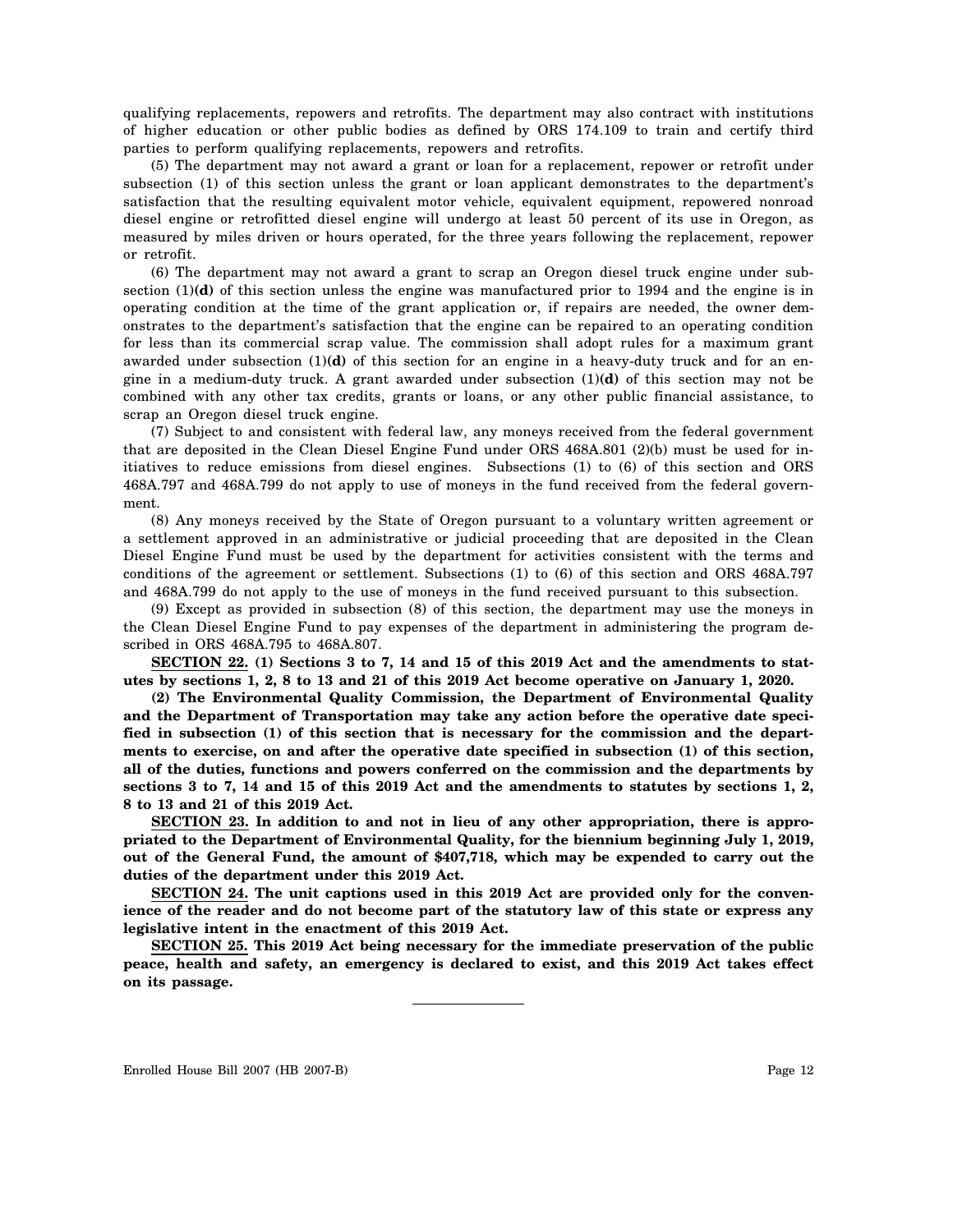qualifying replacements, repowers and retrofits. The department may also contract with institutions of higher education or other public bodies as defined by ORS 174.109 to train and certify third parties to perform qualifying replacements, repowers and retrofits.

(5) The department may not award a grant or loan for a replacement, repower or retrofit under subsection (1) of this section unless the grant or loan applicant demonstrates to the department's satisfaction that the resulting equivalent motor vehicle, equivalent equipment, repowered nonroad diesel engine or retrofitted diesel engine will undergo at least 50 percent of its use in Oregon, as measured by miles driven or hours operated, for the three years following the replacement, repower or retrofit.

(6) The department may not award a grant to scrap an Oregon diesel truck engine under subsection (1)**(d)** of this section unless the engine was manufactured prior to 1994 and the engine is in operating condition at the time of the grant application or, if repairs are needed, the owner demonstrates to the department's satisfaction that the engine can be repaired to an operating condition for less than its commercial scrap value. The commission shall adopt rules for a maximum grant awarded under subsection (1)**(d)** of this section for an engine in a heavy-duty truck and for an engine in a medium-duty truck. A grant awarded under subsection (1)**(d)** of this section may not be combined with any other tax credits, grants or loans, or any other public financial assistance, to scrap an Oregon diesel truck engine.

(7) Subject to and consistent with federal law, any moneys received from the federal government that are deposited in the Clean Diesel Engine Fund under ORS 468A.801 (2)(b) must be used for initiatives to reduce emissions from diesel engines. Subsections (1) to (6) of this section and ORS 468A.797 and 468A.799 do not apply to use of moneys in the fund received from the federal government.

(8) Any moneys received by the State of Oregon pursuant to a voluntary written agreement or a settlement approved in an administrative or judicial proceeding that are deposited in the Clean Diesel Engine Fund must be used by the department for activities consistent with the terms and conditions of the agreement or settlement. Subsections (1) to (6) of this section and ORS 468A.797 and 468A.799 do not apply to the use of moneys in the fund received pursuant to this subsection.

(9) Except as provided in subsection (8) of this section, the department may use the moneys in the Clean Diesel Engine Fund to pay expenses of the department in administering the program described in ORS 468A.795 to 468A.807.

**SECTION 22. (1) Sections 3 to 7, 14 and 15 of this 2019 Act and the amendments to statutes by sections 1, 2, 8 to 13 and 21 of this 2019 Act become operative on January 1, 2020.**

**(2) The Environmental Quality Commission, the Department of Environmental Quality and the Department of Transportation may take any action before the operative date specified in subsection (1) of this section that is necessary for the commission and the departments to exercise, on and after the operative date specified in subsection (1) of this section, all of the duties, functions and powers conferred on the commission and the departments by sections 3 to 7, 14 and 15 of this 2019 Act and the amendments to statutes by sections 1, 2, 8 to 13 and 21 of this 2019 Act.**

**SECTION 23. In addition to and not in lieu of any other appropriation, there is appropriated to the Department of Environmental Quality, for the biennium beginning July 1, 2019, out of the General Fund, the amount of \$407,718, which may be expended to carry out the duties of the department under this 2019 Act.**

**SECTION 24. The unit captions used in this 2019 Act are provided only for the convenience of the reader and do not become part of the statutory law of this state or express any legislative intent in the enactment of this 2019 Act.**

**SECTION 25. This 2019 Act being necessary for the immediate preservation of the public peace, health and safety, an emergency is declared to exist, and this 2019 Act takes effect on its passage.**